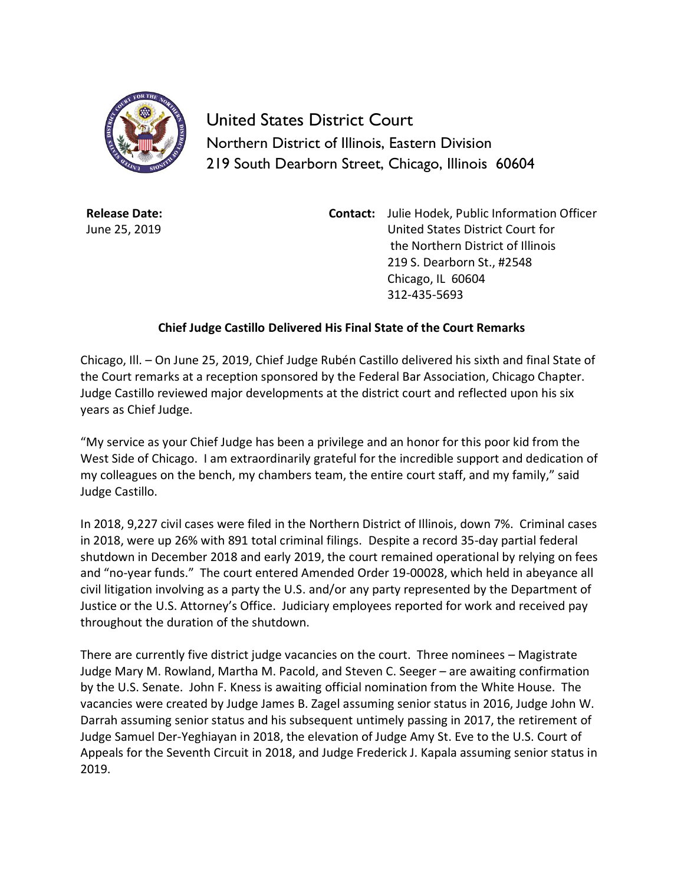

United States District Court Northern District of Illinois, Eastern Division 219 South Dearborn Street, Chicago, Illinois 60604

**Release Date:** June 25, 2019 **Contact:** Julie Hodek, Public Information Officer United States District Court for the Northern District of Illinois 219 S. Dearborn St., #2548 Chicago, IL 60604 312-435-5693

## **Chief Judge Castillo Delivered His Final State of the Court Remarks**

Chicago, Ill. – On June 25, 2019, Chief Judge Rubén Castillo delivered his sixth and final State of the Court remarks at a reception sponsored by the Federal Bar Association, Chicago Chapter. Judge Castillo reviewed major developments at the district court and reflected upon his six years as Chief Judge.

"My service as your Chief Judge has been a privilege and an honor for this poor kid from the West Side of Chicago. I am extraordinarily grateful for the incredible support and dedication of my colleagues on the bench, my chambers team, the entire court staff, and my family," said Judge Castillo.

In 2018, 9,227 civil cases were filed in the Northern District of Illinois, down 7%. Criminal cases in 2018, were up 26% with 891 total criminal filings. Despite a record 35-day partial federal shutdown in December 2018 and early 2019, the court remained operational by relying on fees and "no-year funds." The court entered Amended Order 19-00028, which held in abeyance all civil litigation involving as a party the U.S. and/or any party represented by the Department of Justice or the U.S. Attorney's Office. Judiciary employees reported for work and received pay throughout the duration of the shutdown.

There are currently five district judge vacancies on the court. Three nominees – Magistrate Judge Mary M. Rowland, Martha M. Pacold, and Steven C. Seeger – are awaiting confirmation by the U.S. Senate. John F. Kness is awaiting official nomination from the White House. The vacancies were created by Judge James B. Zagel assuming senior status in 2016, Judge John W. Darrah assuming senior status and his subsequent untimely passing in 2017, the retirement of Judge Samuel Der-Yeghiayan in 2018, the elevation of Judge Amy St. Eve to the U.S. Court of Appeals for the Seventh Circuit in 2018, and Judge Frederick J. Kapala assuming senior status in 2019.